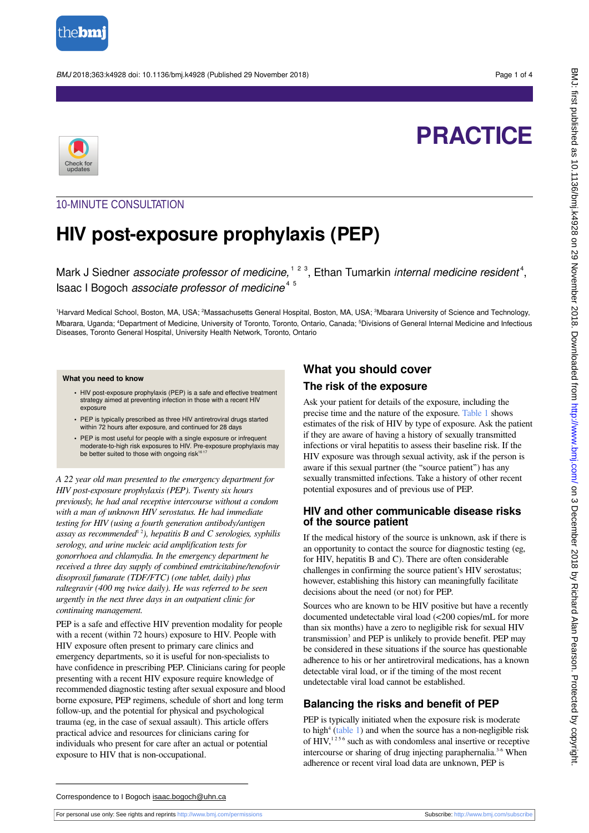

BMJ 2018;363:k4928 doi: 10.1136/bmj.k4928 (Published 29 November 2018) Page 1 of 4



# **PRACTICE**

## 10-MINUTE CONSULTATION

# **HIV post-exposure prophylaxis (PEP)**

Mark J Siedner *associate professor of medicine*,  $^1$  <sup>2</sup>  $^3$ , Ethan Tumarkin *internal medicine resident*<sup>4</sup>, Isaac I Bogoch associate professor of medicine<sup>45</sup>

<sup>1</sup>Harvard Medical School, Boston, MA, USA; <sup>2</sup>Massachusetts General Hospital, Boston, MA, USA; <sup>3</sup>Mbarara University of Science and Technology, Mbarara, Uganda; <sup>4</sup>Department of Medicine, University of Toronto, Toronto, Ontario, Canada; <sup>5</sup>Divisions of General Internal Medicine and Infectious Diseases, Toronto General Hospital, University Health Network, Toronto, Ontario

#### **What you need to know**

- **•** HIV post-exposure prophylaxis (PEP) is a safe and effective treatment strategy aimed at preventing infection in those with a recent HIV exposure
- **•** PEP is typically prescribed as three HIV antiretroviral drugs started within 72 hours after exposure, and continued for 28 days
- **•** PEP is most useful for people with a single exposure or infrequent moderate-to-high risk exposures to HIV. Pre-exposure prophylaxis may<br>be better suited to those with ongoing risk<sup>1617</sup>

*A 22 year old man presented to the emergency department for HIV post-exposure prophylaxis (PEP). Twenty six hours previously, he had anal receptive intercourse without a condom with a man of unknown HIV serostatus. He had immediate testing for HIV (using a fourth generation antibody/antigen assay as recommended*<sup>12</sup>*), hepatitis B and C serologies, syphilis serology, and urine nucleic acid amplification tests for gonorrhoea and chlamydia. In the emergency department he received a three day supply of combined emtricitabine/tenofovir disoproxil fumarate (TDF/FTC) (one tablet, daily) plus raltegravir (400 mg twice daily). He was referred to be seen urgently in the next three days in an outpatient clinic for continuing management.*

PEP is a safe and effective HIV prevention modality for people with a recent (within 72 hours) exposure to HIV. People with HIV exposure often present to primary care clinics and emergency departments, so it is useful for non-specialists to have confidence in prescribing PEP. Clinicians caring for people presenting with a recent HIV exposure require knowledge of recommended diagnostic testing after sexual exposure and blood borne exposure, PEP regimens, schedule of short and long term follow-up, and the potential for physical and psychological trauma (eg, in the case of sexual assault). This article offers practical advice and resources for clinicians caring for individuals who present for care after an actual or potential exposure to HIV that is non-occupational.

# **What you should cover The risk of the exposure**

Ask your patient for details of the exposure, including the precise time and the nature of the exposure. [Table 1](#page-3-0) shows estimates of the risk of HIV by type of exposure. Ask the patient if they are aware of having a history of sexually transmitted infections or viral hepatitis to assess their baseline risk. If the HIV exposure was through sexual activity, ask if the person is aware if this sexual partner (the "source patient") has any sexually transmitted infections. Take a history of other recent potential exposures and of previous use of PEP.

## **HIV and other communicable disease risks of the source patient**

If the medical history of the source is unknown, ask if there is an opportunity to contact the source for diagnostic testing (eg, for HIV, hepatitis B and C). There are often considerable challenges in confirming the source patient's HIV serostatus; however, establishing this history can meaningfully facilitate decisions about the need (or not) for PEP.

Sources who are known to be HIV positive but have a recently documented undetectable viral load (<200 copies/mL for more than six months) have a zero to negligible risk for sexual HIV transmission<sup>3</sup> and PEP is unlikely to provide benefit. PEP may be considered in these situations if the source has questionable adherence to his or her antiretroviral medications, has a known detectable viral load, or if the timing of the most recent undetectable viral load cannot be established.

## **Balancing the risks and benefit of PEP**

PEP is typically initiated when the exposure risk is moderate to high<sup>4</sup> ([table 1](#page-3-0)) and when the source has a non-negligible risk of  $HIV$ ,<sup>1256</sup> such as with condomless anal insertive or receptive intercourse or sharing of drug injecting paraphernalia.<sup>3-6</sup> When adherence or recent viral load data are unknown, PEP is

Correspondence to I Bogoch isaac.bogoch@uhn.ca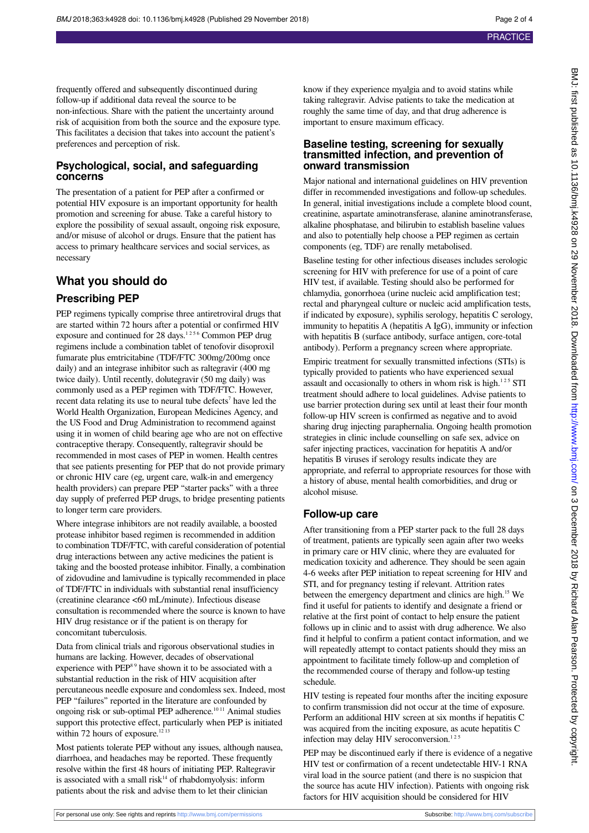frequently offered and subsequently discontinued during follow-up if additional data reveal the source to be non-infectious. Share with the patient the uncertainty around risk of acquisition from both the source and the exposure type. This facilitates a decision that takes into account the patient's preferences and perception of risk.

## **Psychological, social, and safeguarding concerns**

The presentation of a patient for PEP after a confirmed or potential HIV exposure is an important opportunity for health promotion and screening for abuse. Take a careful history to explore the possibility of sexual assault, ongoing risk exposure, and/or misuse of alcohol or drugs. Ensure that the patient has access to primary healthcare services and social services, as necessary

## **What you should do Prescribing PEP**

PEP regimens typically comprise three antiretroviral drugs that are started within 72 hours after a potential or confirmed HIV exposure and continued for 28 days.<sup>1256</sup> Common PEP drug regimens include a combination tablet of tenofovir disoproxil fumarate plus emtricitabine (TDF/FTC 300mg/200mg once daily) and an integrase inhibitor such as raltegravir (400 mg twice daily). Until recently, dolutegravir (50 mg daily) was commonly used as a PEP regimen with TDF/FTC. However, recent data relating its use to neural tube defects<sup>7</sup> have led the World Health Organization, European Medicines Agency, and the US Food and Drug Administration to recommend against using it in women of child bearing age who are not on effective contraceptive therapy. Consequently, raltegravir should be recommended in most cases of PEP in women. Health centres that see patients presenting for PEP that do not provide primary or chronic HIV care (eg, urgent care, walk-in and emergency health providers) can prepare PEP "starter packs" with a three day supply of preferred PEP drugs, to bridge presenting patients to longer term care providers.

Where integrase inhibitors are not readily available, a boosted protease inhibitor based regimen is recommended in addition to combination TDF/FTC, with careful consideration of potential drug interactions between any active medicines the patient is taking and the boosted protease inhibitor. Finally, a combination of zidovudine and lamivudine is typically recommended in place of TDF/FTC in individuals with substantial renal insufficiency (creatinine clearance <60 mL/minute). Infectious disease consultation is recommended where the source is known to have HIV drug resistance or if the patient is on therapy for concomitant tuberculosis.

Data from clinical trials and rigorous observational studies in humans are lacking. However, decades of observational experience with PEP<sup>89</sup> have shown it to be associated with a substantial reduction in the risk of HIV acquisition after percutaneous needle exposure and condomless sex. Indeed, most PEP "failures" reported in the literature are confounded by ongoing risk or sub-optimal PEP adherence.<sup>1011</sup> Animal studies support this protective effect, particularly when PEP is initiated within 72 hours of exposure.<sup>12 13</sup>

Most patients tolerate PEP without any issues, although nausea, diarrhoea, and headaches may be reported. These frequently resolve within the first 48 hours of initiating PEP. Raltegravir is associated with a small risk $14$  of rhabdomyolysis: inform patients about the risk and advise them to let their clinician

know if they experience myalgia and to avoid statins while taking raltegravir. Advise patients to take the medication at roughly the same time of day, and that drug adherence is important to ensure maximum efficacy.

### **Baseline testing, screening for sexually transmitted infection, and prevention of onward transmission**

Major national and international guidelines on HIV prevention differ in recommended investigations and follow-up schedules. In general, initial investigations include a complete blood count, creatinine, aspartate aminotransferase, alanine aminotransferase, alkaline phosphatase, and bilirubin to establish baseline values and also to potentially help choose a PEP regimen as certain components (eg, TDF) are renally metabolised.

Baseline testing for other infectious diseases includes serologic screening for HIV with preference for use of a point of care HIV test, if available. Testing should also be performed for chlamydia, gonorrhoea (urine nucleic acid amplification test; rectal and pharyngeal culture or nucleic acid amplification tests, if indicated by exposure), syphilis serology, hepatitis C serology, immunity to hepatitis A (hepatitis A IgG), immunity or infection with hepatitis B (surface antibody, surface antigen, core-total antibody). Perform a pregnancy screen where appropriate.

Empiric treatment for sexually transmitted infections (STIs) is typically provided to patients who have experienced sexual assault and occasionally to others in whom risk is high. $125$  STI treatment should adhere to local guidelines. Advise patients to use barrier protection during sex until at least their four month follow-up HIV screen is confirmed as negative and to avoid sharing drug injecting paraphernalia. Ongoing health promotion strategies in clinic include counselling on safe sex, advice on safer injecting practices, vaccination for hepatitis A and/or hepatitis B viruses if serology results indicate they are appropriate, and referral to appropriate resources for those with a history of abuse, mental health comorbidities, and drug or alcohol misuse.

## **Follow-up care**

After transitioning from a PEP starter pack to the full 28 days of treatment, patients are typically seen again after two weeks in primary care or HIV clinic, where they are evaluated for medication toxicity and adherence. They should be seen again 4-6 weeks after PEP initiation to repeat screening for HIV and STI, and for pregnancy testing if relevant. Attrition rates between the emergency department and clinics are high.<sup>15</sup> We find it useful for patients to identify and designate a friend or relative at the first point of contact to help ensure the patient follows up in clinic and to assist with drug adherence. We also find it helpful to confirm a patient contact information, and we will repeatedly attempt to contact patients should they miss an appointment to facilitate timely follow-up and completion of the recommended course of therapy and follow-up testing schedule.

HIV testing is repeated four months after the inciting exposure to confirm transmission did not occur at the time of exposure. Perform an additional HIV screen at six months if hepatitis C was acquired from the inciting exposure, as acute hepatitis C infection may delay HIV seroconversion.<sup>125</sup>

PEP may be discontinued early if there is evidence of a negative HIV test or confirmation of a recent undetectable HIV-1 RNA viral load in the source patient (and there is no suspicion that the source has acute HIV infection). Patients with ongoing risk factors for HIV acquisition should be considered for HIV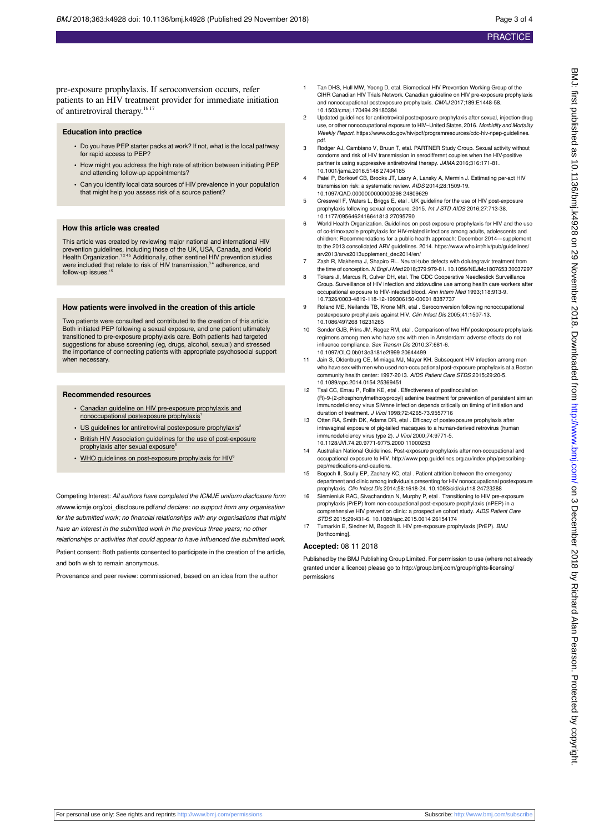pre-exposure prophylaxis. If seroconversion occurs, refer patients to an HIV treatment provider for immediate initiation of antiretroviral therapy.<sup>16 17</sup>

#### **Education into practice**

- **•** Do you have PEP starter packs at work? If not, what is the local pathway for rapid access to PEP?
- **•** How might you address the high rate of attrition between initiating PEP and attending follow-up appointments?
- **•** Can you identify local data sources of HIV prevalence in your population that might help you assess risk of a source patient?

#### **How this article was created**

This article was created by reviewing major national and international HIV prevention guidelines, including those of the UK, USA, Canada, and World<br>Health Organization.<sup>1245</sup> Additionally, other sentinel HIV prevention studies were included that relate to risk of HIV transmission,<sup>34</sup> adherence, and follow-up issues.

#### **How patients were involved in the creation of this article**

Two patients were consulted and contributed to the creation of this article. Both initiated PEP following a sexual exposure, and one patient ultimately transitioned to pre-exposure prophylaxis care. Both patients had targeted suggestions for abuse screening (eg, drugs, alcohol, sexual) and stressed the importance of connecting patients with appropriate psychosocial support when necessary.

#### **Recommended resources**

- **•** Canadian guideline on HIV pre-exposure prophylaxis and nonoccupational postexposure prophylaxis<sup>1</sup>
- US guidelines for antiretroviral postexposure prophylaxis<sup>2</sup>
- **•** British HIV Association guidelines for the use of post-exposure prophylaxis after sexual exposure 5
- WHO guidelines on post-exposure prophylaxis for HIV<sup>6</sup>

Competing Interest: All authors have completed the ICMJE uniform disclosure form at[www.icmje.org/coi\\_disclosure.pdf](http://www.icmje.org/coi_disclosure.pdf)and declare: no support from any organisation for the submitted work; no financial relationships with any organisations that might have an interest in the submitted work in the previous three years; no other

relationships or activities that could appear to have influenced the submitted work. Patient consent: Both patients consented to participate in the creation of the article, and both wish to remain anonymous.

Provenance and peer review: commissioned, based on an idea from the author

- Tan DHS, Hull MW, Yoong D, etal. Biomedical HIV Prevention Working Group of the CIHR Canadian HIV Trials Network. Canadian guideline on HIV pre-exposure prophylaxis and nonoccupational postexposure prophylaxis. CMAJ 2017;189:E1448-58. 10.1503/cmaj.170494 29180384
- 2 Updated guidelines for antiretroviral postexposure prophylaxis after sexual, injection-drug use, or other nonoccupational exposure to HIV–United States, 2016. Morbidity and Mortality Weekly Report. https://www.cdc.gov/hiv/pdf/programresources/cdc-hiv-npep-guidelines. pdf. 3 Rodger AJ, Cambiano V, Bruun T, etal. PARTNER Study Group. Sexual activity without
- condoms and risk of HIV transmission in serodifferent couples when the HIV-positive partner is using suppressive antiretroviral therapy. JAMA 2016;316:171-81. 10.1001/jama.2016.5148 27404185
- 4 Patel P, Borkowf CB, Brooks JT, Lasry A, Lansky A, Mermin J. Estimating per-act HIV transmission risk: a systematic review. AIDS 2014;28:1509-19. 10.1097/QAD.0000000000000298 24809629
- 5 Cresswell F, Waters L, Briggs E, etal . UK guideline for the use of HIV post-exposure prophylaxis following sexual exposure, 2015. Int J STD AIDS 2016;27:713-38. 10.1177/0956462416641813 27095790
- 6 World Health Organization. Guidelines on post-exposure prophylaxis for HIV and the use of co-trimoxazole prophylaxis for HIV-related infections among adults, adolescents and children: Recommendations for a public health approach: December 2014—supplement to the 2013 consolidated ARV guidelines. 2014. https://www.who.int/hiv/pub/guidelines/ arv2013/arvs2013upplement\_dec2014/en/
- Zash R, Makhema J, Shapiro RL. Neural-tube defects with dolutegravir treatment from the time of conception. N Engl J Med 2018;379:979-81. 10.1056/NEJMc1807653 30037297
- 8 Tokars JI, Marcus R, Culver DH, etal. The CDC Cooperative Needlestick Surveillance Group. Surveillance of HIV infection and zidovudine use among health care workers after occupational exposure to HIV-infected blood. Ann Intern Med 1993;118:913-9. 10.7326/0003-4819-118-12-199306150-00001 8387737
- 9 Roland ME, Neilands TB, Krone MR, etal . Seroconversion following nonoccupational postexposure prophylaxis against HIV. Clin Infect Dis 2005;41:1507-13. 10.1086/497268 16231265
- 10 Sonder GJB, Prins JM, Regez RM, etal . Comparison of two HIV postexposure prophylaxis regimens among men who have sex with men in Amsterdam: adverse effects do not influence compliance. Sex Transm Dis 2010;37:681-6. 10.1097/OLQ.0b013e3181e2f999 20644499
- 11 Jain S, Oldenburg CE, Mimiaga MJ, Mayer KH. Subsequent HIV infection among men who have sex with men who used non-occupational post-exposure prophylaxis at a Boston community health center: 1997-2013. AIDS Patient Care STDS 2015;29:20-5. 10.1089/apc.2014.0154 25369451
- 12 Tsai CC, Emau P, Follis KE, etal . Effectiveness of postinoculation (R)-9-(2-phosphonylmethoxypropyl) adenine treatment for prevention of persistent simian immunodeficiency virus SIVmne infection depends critically on timing of initiation and duration of treatment. J Virol 1998;72:4265-73.9557716
- 13 Otten RA, Smith DK, Adams DR, etal . Efficacy of postexposure prophylaxis after intravaginal exposure of pig-tailed macaques to a human-derived retrovirus (human immunodeficiency virus type 2). J Virol 2000;74:9771-5. 10.1128/JVI.74.20.9771-9775.2000 11000253
- 14 Australian National Guidelines. Post-exposure prophylaxis after non-occupational and occupational exposure to HIV. [http://www.pep.guidelines.org.au/index.php/prescribing](http://www.pep.guidelines.org.au/index.php/prescribing-pep/medications-and-cautions)[pep/medications-and-cautions.](http://www.pep.guidelines.org.au/index.php/prescribing-pep/medications-and-cautions)
- 15 Bogoch II, Scully EP, Zachary KC, etal . Patient attrition between the emergency department and clinic among individuals presenting for HIV nonoccupational postexposure prophylaxis. Clin Infect Dis 2014;58:1618-24. 10.1093/cid/ciu118 24723288
- 16 Siemieniuk RAC, Sivachandran N, Murphy P, etal . Transitioning to HIV pre-exposure prophylaxis (PrEP) from non-occupational post-exposure prophylaxis (nPEP) in a comprehensive HIV prevention clinic: a prospective cohort study. AIDS Patient Care STDS 2015;29:431-6. 10.1089/apc.2015.0014 26154174
- 17 Tumarkin E, Siedner M, Bogoch II. HIV pre-exposure prophylaxis (PrEP). BMJ [forthcoming].

### **Accepted:** 08 11 2018

Published by the BMJ Publishing Group Limited. For permission to use (where not already granted under a licence) please go to [http://group.bmj.com/group/rights-licensing/](http://group.bmj.com/group/rights-licensing/permissions) [permissions](http://group.bmj.com/group/rights-licensing/permissions)